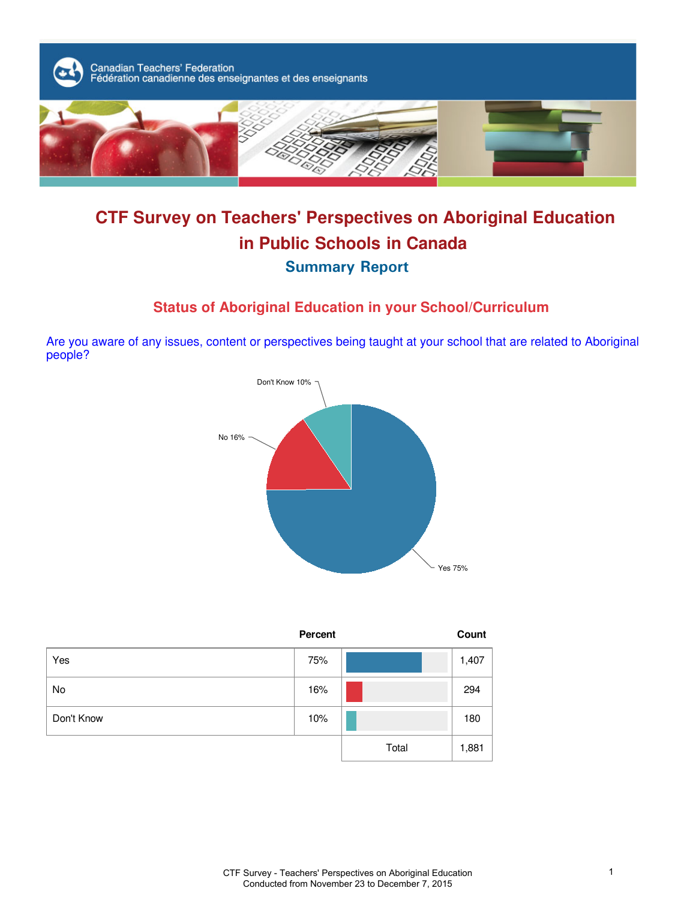

# **CTF Survey on Teachers' Perspectives on Aboriginal Education in Public Schools in Canada Summary Report**

# **Status of Aboriginal Education in your School/Curriculum**

Are you aware of any issues, content or perspectives being taught at your school that are related to Aboriginal people?



|            | Percent |       | Count |
|------------|---------|-------|-------|
| Yes        | 75%     |       | 1,407 |
| No         | 16%     |       | 294   |
| Don't Know | 10%     |       | 180   |
|            |         | Total | 1,881 |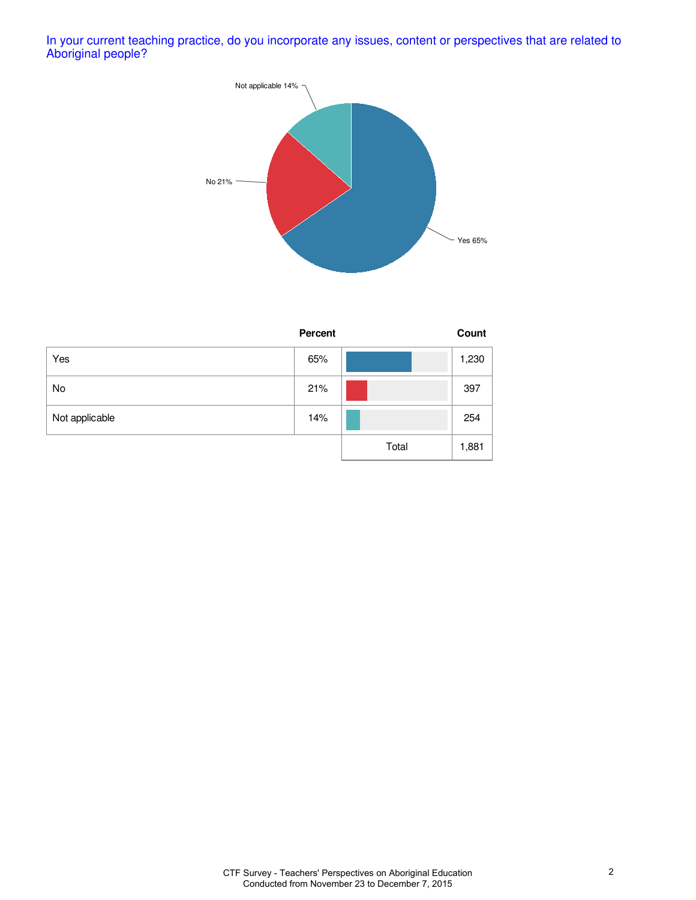In your current teaching practice, do you incorporate any issues, content or perspectives that are related to Aboriginal people?



|                | <b>Percent</b> |       | Count |
|----------------|----------------|-------|-------|
| Yes            | 65%            |       | 1,230 |
| No             | 21%            |       | 397   |
| Not applicable | 14%            |       | 254   |
|                |                | Total | 1,881 |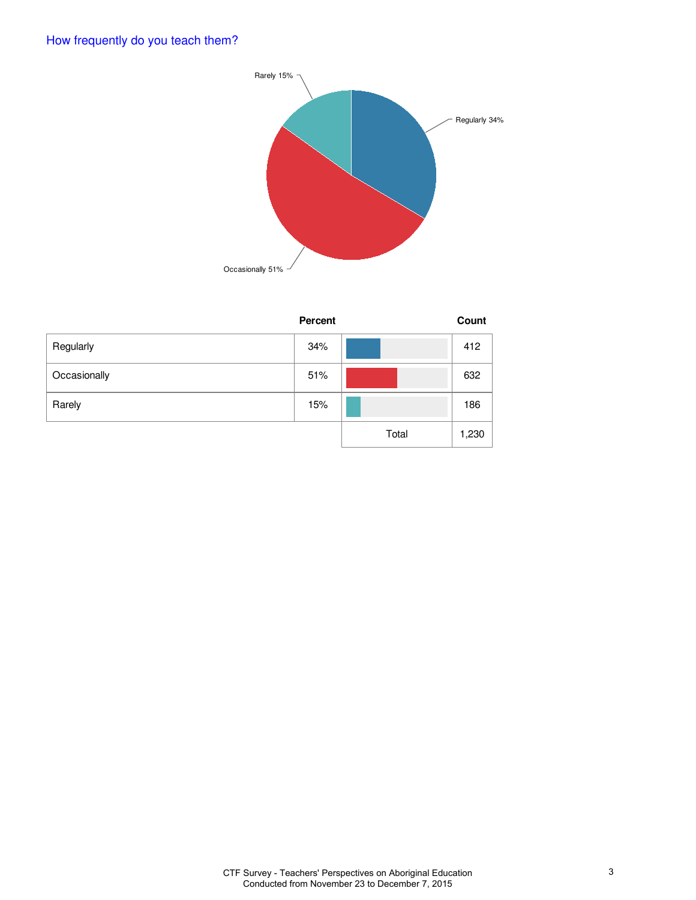

|              | Percent |       | Count |
|--------------|---------|-------|-------|
| Regularly    | 34%     |       | 412   |
| Occasionally | 51%     |       | 632   |
| Rarely       | 15%     |       | 186   |
|              |         | Total | 1,230 |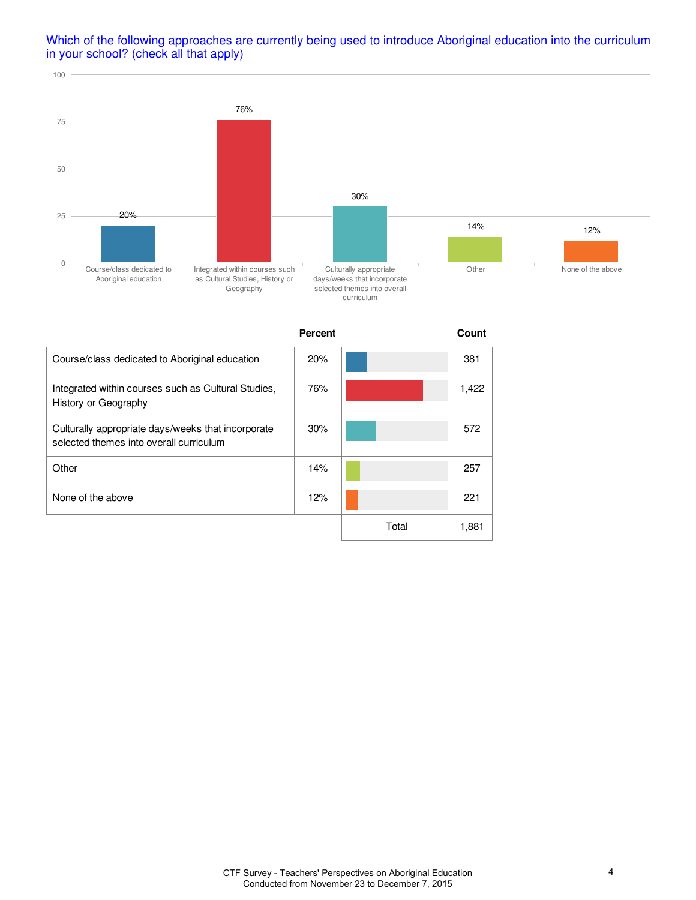#### Which of the following approaches are currently being used to introduce Aboriginal education into the curriculum in your school? (check all that apply)



|                                                                                               | <b>Percent</b> |       | Count |
|-----------------------------------------------------------------------------------------------|----------------|-------|-------|
| Course/class dedicated to Aboriginal education                                                | 20%            |       | 381   |
| Integrated within courses such as Cultural Studies,<br>History or Geography                   | 76%            |       | 1,422 |
| Culturally appropriate days/weeks that incorporate<br>selected themes into overall curriculum | 30%            |       | 572   |
| Other                                                                                         | 14%            |       | 257   |
| None of the above                                                                             | 12%            |       | 221   |
|                                                                                               |                | Total | 1,881 |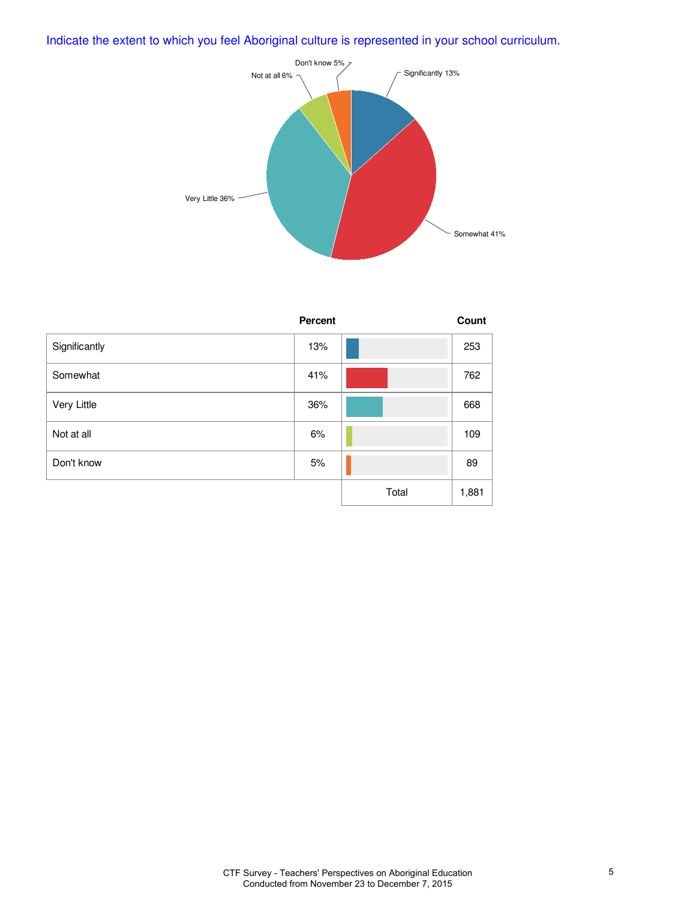# Indicate the extent to which you feel Aboriginal culture is represented in your school curriculum.



|               | Percent |       | Count |
|---------------|---------|-------|-------|
| Significantly | 13%     |       | 253   |
| Somewhat      | 41%     |       | 762   |
| Very Little   | 36%     |       | 668   |
| Not at all    | 6%      |       | 109   |
| Don't know    | 5%      |       | 89    |
|               |         | Total | 1,881 |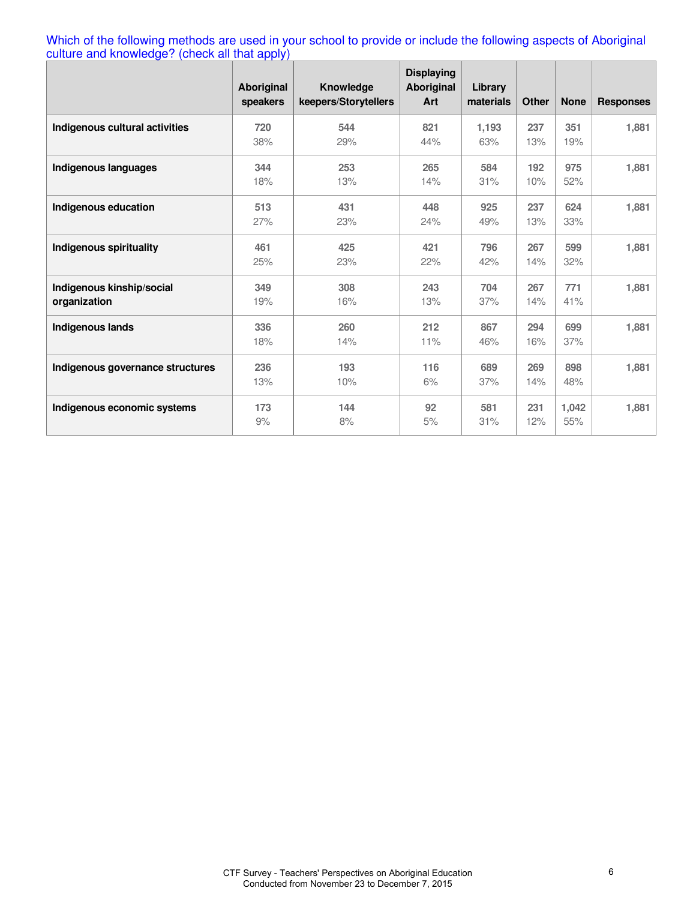Which of the following methods are used in your school to provide or include the following aspects of Aboriginal culture and knowledge? (check all that apply)

|                                           | Aboriginal<br>speakers | <b>Knowledge</b><br>keepers/Storytellers | <b>Displaying</b><br>Aboriginal<br>Art | Library<br>materials | <b>Other</b> | <b>None</b>  | <b>Responses</b> |
|-------------------------------------------|------------------------|------------------------------------------|----------------------------------------|----------------------|--------------|--------------|------------------|
| Indigenous cultural activities            | 720<br>38%             | 544<br>29%                               | 821<br>44%                             | 1.193<br>63%         | 237<br>13%   | 351<br>19%   | 1,881            |
| Indigenous languages                      | 344<br>18%             | 253<br>13%                               | 265<br>14%                             | 584<br>31%           | 192<br>10%   | 975<br>52%   | 1,881            |
| Indigenous education                      | 513<br>27%             | 431<br>23%                               | 448<br>24%                             | 925<br>49%           | 237<br>13%   | 624<br>33%   | 1,881            |
| Indigenous spirituality                   | 461<br>25%             | 425<br>23%                               | 421<br>22%                             | 796<br>42%           | 267<br>14%   | 599<br>32%   | 1,881            |
| Indigenous kinship/social<br>organization | 349<br>19%             | 308<br>16%                               | 243<br>13%                             | 704<br>37%           | 267<br>14%   | 771<br>41%   | 1,881            |
| Indigenous lands                          | 336<br>18%             | 260<br>14%                               | 212<br>11%                             | 867<br>46%           | 294<br>16%   | 699<br>37%   | 1,881            |
| Indigenous governance structures          | 236<br>13%             | 193<br>10%                               | 116<br>6%                              | 689<br>37%           | 269<br>14%   | 898<br>48%   | 1,881            |
| Indigenous economic systems               | 173<br>9%              | 144<br>8%                                | 92<br>5%                               | 581<br>31%           | 231<br>12%   | 1,042<br>55% | 1,881            |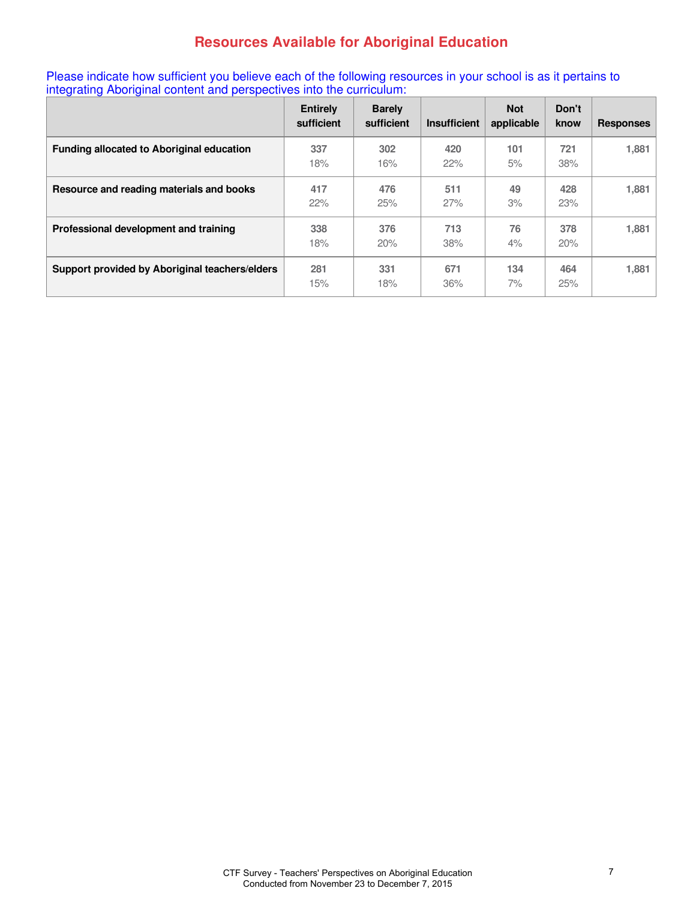# **Resources Available for Aboriginal Education**

Please indicate how sufficient you believe each of the following resources in your school is as it pertains to integrating Aboriginal content and perspectives into the curriculum:

|                                                  | <b>Entirely</b><br>sufficient | <b>Barely</b><br>sufficient | <b>Insufficient</b> | <b>Not</b><br>applicable | Don't<br>know | <b>Responses</b> |
|--------------------------------------------------|-------------------------------|-----------------------------|---------------------|--------------------------|---------------|------------------|
| <b>Funding allocated to Aboriginal education</b> | 337<br>18%                    | 302<br>16%                  | 420<br>22%          | 101<br>5%                | 721<br>38%    | 1,881            |
| Resource and reading materials and books         | 417<br>22%                    | 476<br>25%                  | 511<br>27%          | 49<br>3%                 | 428<br>23%    | 1,881            |
| Professional development and training            | 338<br>18%                    | 376<br>20%                  | 713<br>38%          | 76<br>4%                 | 378<br>20%    | 1,881            |
| Support provided by Aboriginal teachers/elders   | 281<br>15%                    | 331<br>18%                  | 671<br>36%          | 134<br>$7\%$             | 464<br>25%    | 1,881            |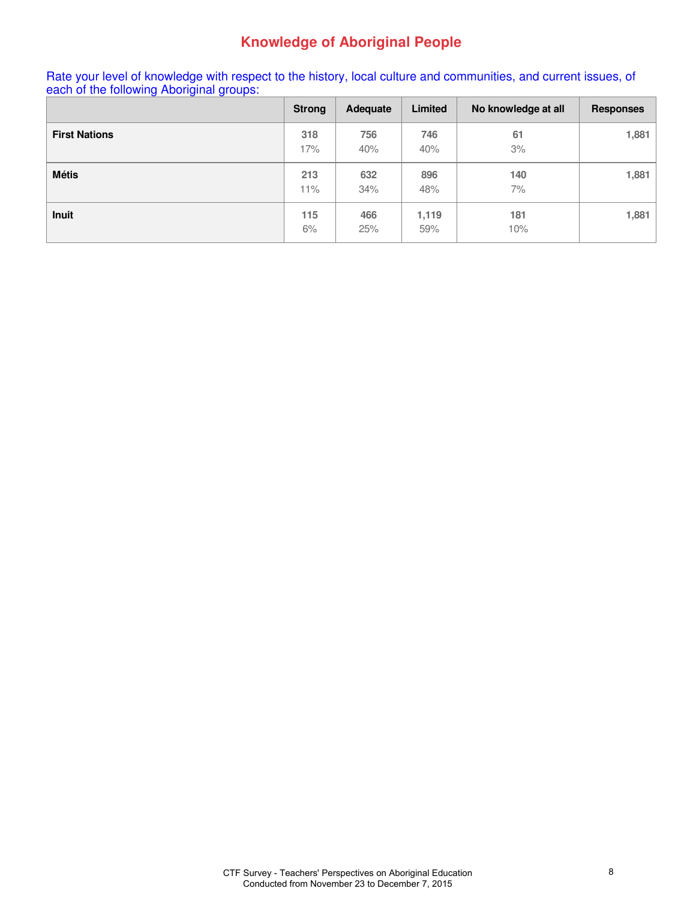# **Knowledge of Aboriginal People**

Rate your level of knowledge with respect to the history, local culture and communities, and current issues, of each of the following Aboriginal groups:

|                      | <b>Strong</b> | Adequate   | Limited      | No knowledge at all | <b>Responses</b> |
|----------------------|---------------|------------|--------------|---------------------|------------------|
| <b>First Nations</b> | 318<br>17%    | 756<br>40% | 746<br>40%   | 61<br>3%            | 1,881            |
| <b>Métis</b>         | 213<br>11%    | 632<br>34% | 896<br>48%   | 140<br>7%           | 1,881            |
| <b>Inuit</b>         | 115<br>6%     | 466<br>25% | 1,119<br>59% | 181<br>10%          | 1,881            |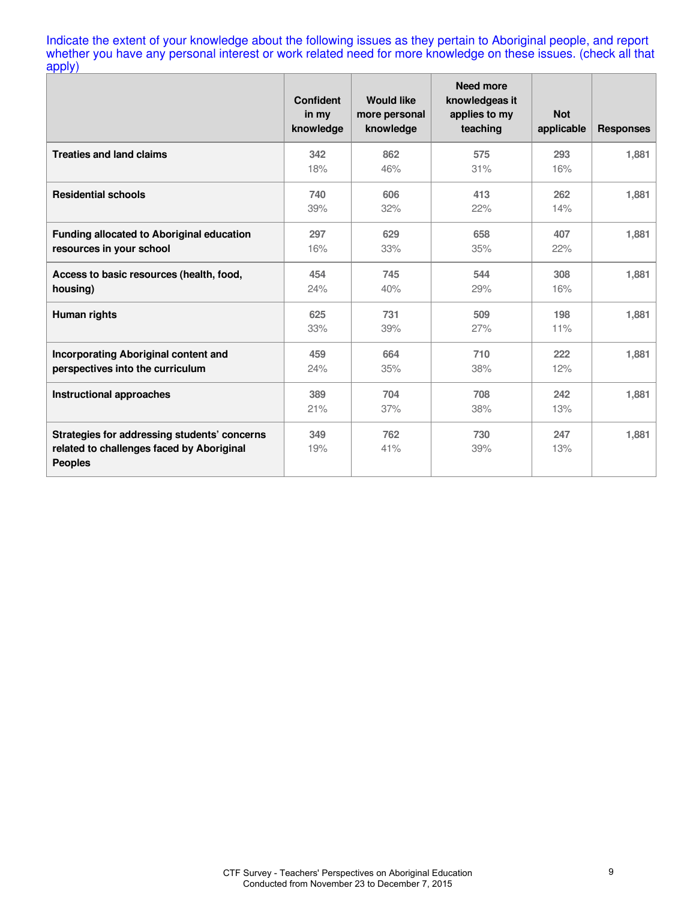Indicate the extent of your knowledge about the following issues as they pertain to Aboriginal people, and report whether you have any personal interest or work related need for more knowledge on these issues. (check all that apply)

|                                                                                                             | <b>Confident</b><br>in my<br>knowledge | <b>Would like</b><br>more personal<br>knowledge | <b>Need more</b><br>knowledgeas it<br>applies to my<br>teaching | <b>Not</b><br>applicable | <b>Responses</b> |
|-------------------------------------------------------------------------------------------------------------|----------------------------------------|-------------------------------------------------|-----------------------------------------------------------------|--------------------------|------------------|
| <b>Treaties and land claims</b>                                                                             | 342<br>18%                             | 862<br>46%                                      | 575<br>31%                                                      | 293<br>16%               | 1,881            |
| <b>Residential schools</b>                                                                                  | 740<br>39%                             | 606<br>32%                                      | 413<br>22%                                                      | 262<br>14%               | 1,881            |
| Funding allocated to Aboriginal education<br>resources in your school                                       | 297<br>16%                             | 629<br>33%                                      | 658<br>35%                                                      | 407<br>22%               | 1,881            |
| Access to basic resources (health, food,<br>housing)                                                        | 454<br>24%                             | 745<br>40%                                      | 544<br>29%                                                      | 308<br>16%               | 1,881            |
| Human rights                                                                                                | 625<br>33%                             | 731<br>39%                                      | 509<br>27%                                                      | 198<br>11%               | 1,881            |
| <b>Incorporating Aboriginal content and</b><br>perspectives into the curriculum                             | 459<br>24%                             | 664<br>35%                                      | 710<br>38%                                                      | 222<br>12%               | 1,881            |
| <b>Instructional approaches</b>                                                                             | 389<br>21%                             | 704<br>37%                                      | 708<br>38%                                                      | 242<br>13%               | 1,881            |
| Strategies for addressing students' concerns<br>related to challenges faced by Aboriginal<br><b>Peoples</b> | 349<br>19%                             | 762<br>41%                                      | 730<br>39%                                                      | 247<br>13%               | 1,881            |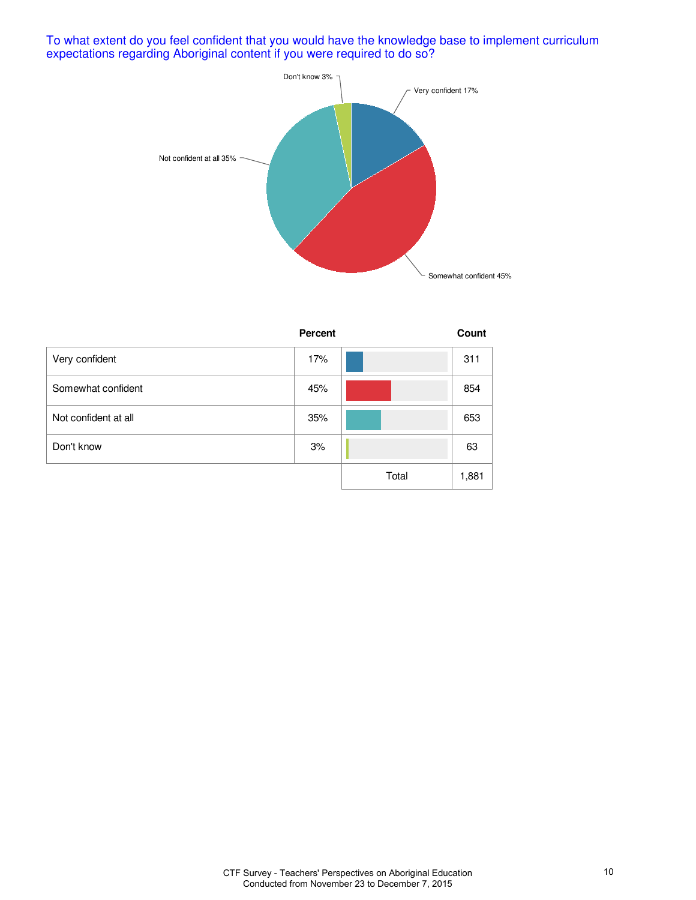To what extent do you feel confident that you would have the knowledge base to implement curriculum expectations regarding Aboriginal content if you were required to do so?



|                      | Percent |       | Count |
|----------------------|---------|-------|-------|
| Very confident       | 17%     |       | 311   |
| Somewhat confident   | 45%     |       | 854   |
| Not confident at all | 35%     |       | 653   |
| Don't know           | 3%      |       | 63    |
|                      |         | Total | 1,881 |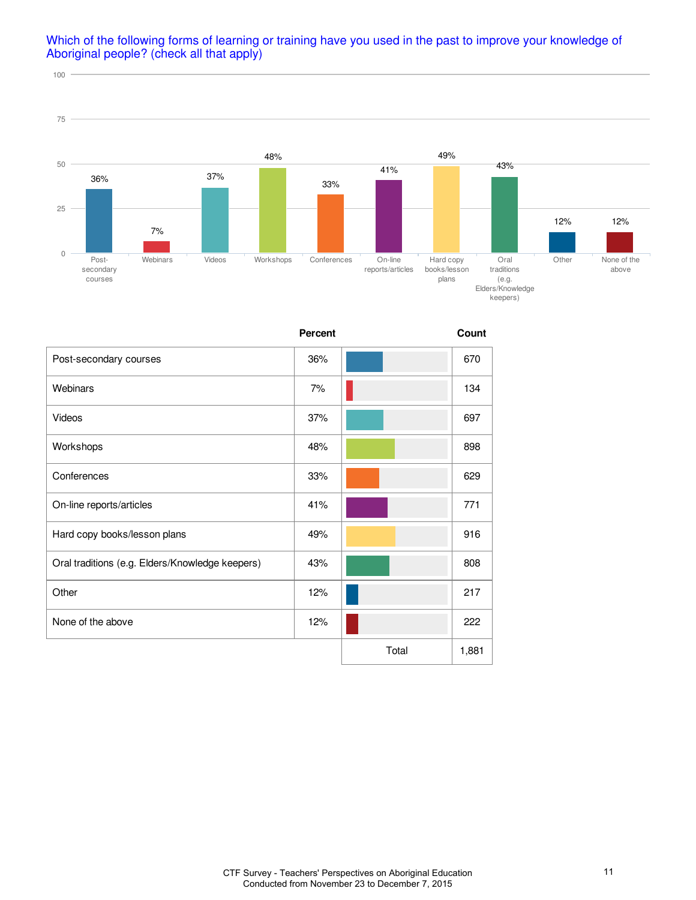

### Which of the following forms of learning or training have you used in the past to improve your knowledge of Aboriginal people? (check all that apply)

|                                                 | <b>Percent</b> |       | Count |
|-------------------------------------------------|----------------|-------|-------|
| Post-secondary courses                          | 36%            |       | 670   |
| Webinars                                        | 7%             |       | 134   |
| Videos                                          | 37%            |       | 697   |
| Workshops                                       | 48%            |       | 898   |
| Conferences                                     | 33%            |       | 629   |
| On-line reports/articles                        | 41%            |       | 771   |
| Hard copy books/lesson plans                    | 49%            |       | 916   |
| Oral traditions (e.g. Elders/Knowledge keepers) | 43%            |       | 808   |
| Other                                           | 12%            |       | 217   |
| None of the above                               | 12%            |       | 222   |
|                                                 |                | Total | 1,881 |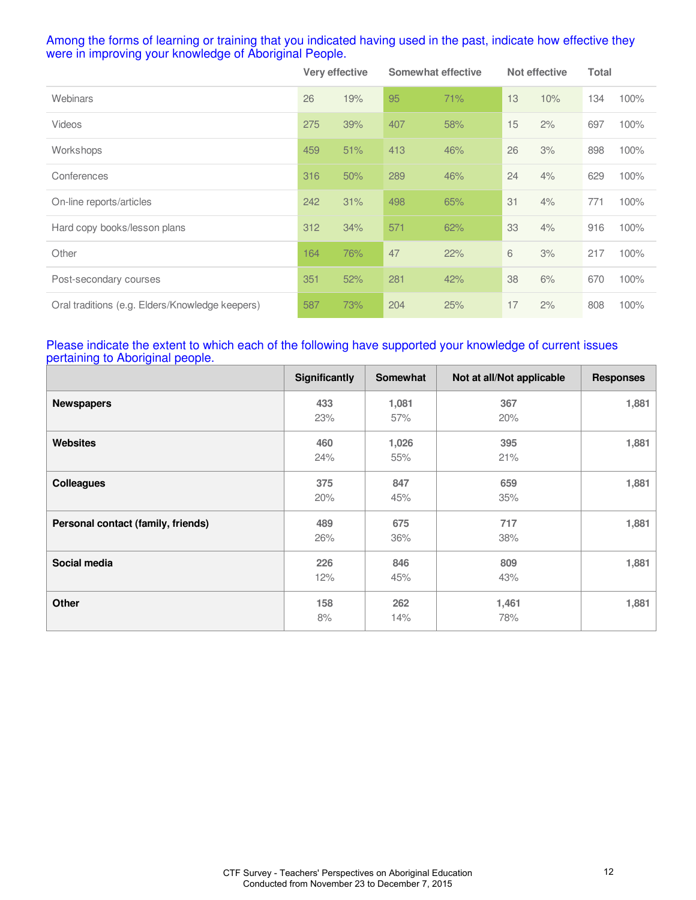### Among the forms of learning or training that you indicated having used in the past, indicate how effective they were in improving your knowledge of Aboriginal People.

|                                                 | Very effective |     | <b>Somewhat effective</b> |     | Not effective |     | Total |      |
|-------------------------------------------------|----------------|-----|---------------------------|-----|---------------|-----|-------|------|
| Webinars                                        | 26             | 19% | 95                        | 71% | 13            | 10% | 134   | 100% |
| <b>Videos</b>                                   | 275            | 39% | 407                       | 58% | 15            | 2%  | 697   | 100% |
| Workshops                                       | 459            | 51% | 413                       | 46% | 26            | 3%  | 898   | 100% |
| Conferences                                     | 316            | 50% | 289                       | 46% | 24            | 4%  | 629   | 100% |
| On-line reports/articles                        | 242            | 31% | 498                       | 65% | 31            | 4%  | 771   | 100% |
| Hard copy books/lesson plans                    | 312            | 34% | 571                       | 62% | 33            | 4%  | 916   | 100% |
| Other                                           | 164            | 76% | 47                        | 22% | 6             | 3%  | 217   | 100% |
| Post-secondary courses                          | 351            | 52% | 281                       | 42% | 38            | 6%  | 670   | 100% |
| Oral traditions (e.g. Elders/Knowledge keepers) | 587            | 73% | 204                       | 25% | 17            | 2%  | 808   | 100% |

### Please indicate the extent to which each of the following have supported your knowledge of current issues pertaining to Aboriginal people.

|                                    | Significantly | <b>Somewhat</b> | Not at all/Not applicable | <b>Responses</b> |
|------------------------------------|---------------|-----------------|---------------------------|------------------|
| <b>Newspapers</b>                  | 433<br>23%    | 1,081<br>57%    | 367<br>20%                | 1,881            |
| <b>Websites</b>                    | 460<br>24%    | 1,026<br>55%    | 395<br>21%                | 1,881            |
| <b>Colleagues</b>                  | 375<br>20%    | 847<br>45%      | 659<br>35%                | 1,881            |
| Personal contact (family, friends) | 489<br>26%    | 675<br>36%      | 717<br>38%                | 1,881            |
| Social media                       | 226<br>12%    | 846<br>45%      | 809<br>43%                | 1,881            |
| Other                              | 158<br>8%     | 262<br>14%      | 1,461<br>78%              | 1,881            |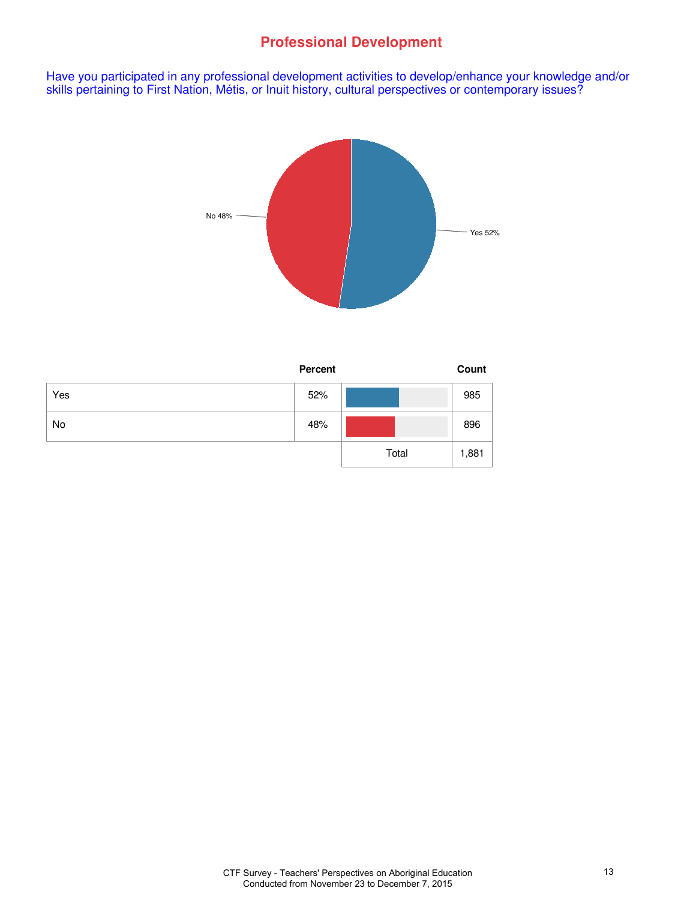# **Professional Development**

Have you participated in any professional development activities to develop/enhance your knowledge and/or skills pertaining to First Nation, Métis, or Inuit history, cultural perspectives or contemporary issues?



|     | <b>Percent</b> |       | Count |
|-----|----------------|-------|-------|
| Yes | 52%            |       | 985   |
| No  | 48%            |       | 896   |
|     |                | Total | 1,881 |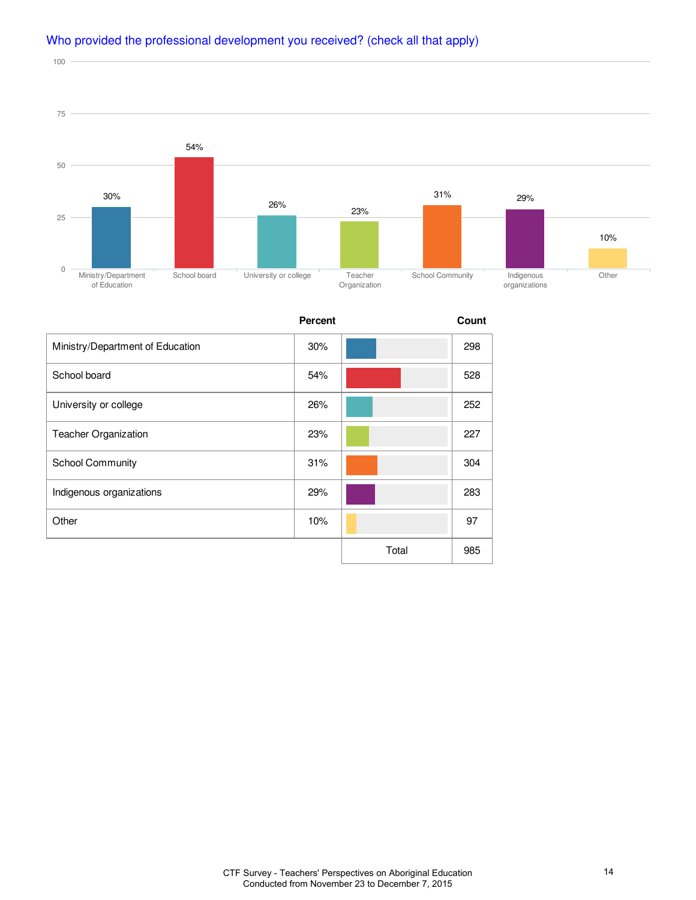

# Who provided the professional development you received? (check all that apply)

100

|                                  | <b>Percent</b> |       | Count |
|----------------------------------|----------------|-------|-------|
| Ministry/Department of Education | 30%            |       | 298   |
| School board                     | 54%            |       | 528   |
| University or college            | 26%            |       | 252   |
| Teacher Organization             | 23%            |       | 227   |
| <b>School Community</b>          | 31%            |       | 304   |
| Indigenous organizations         | 29%            |       | 283   |
| Other                            | 10%            |       | 97    |
|                                  |                | Total | 985   |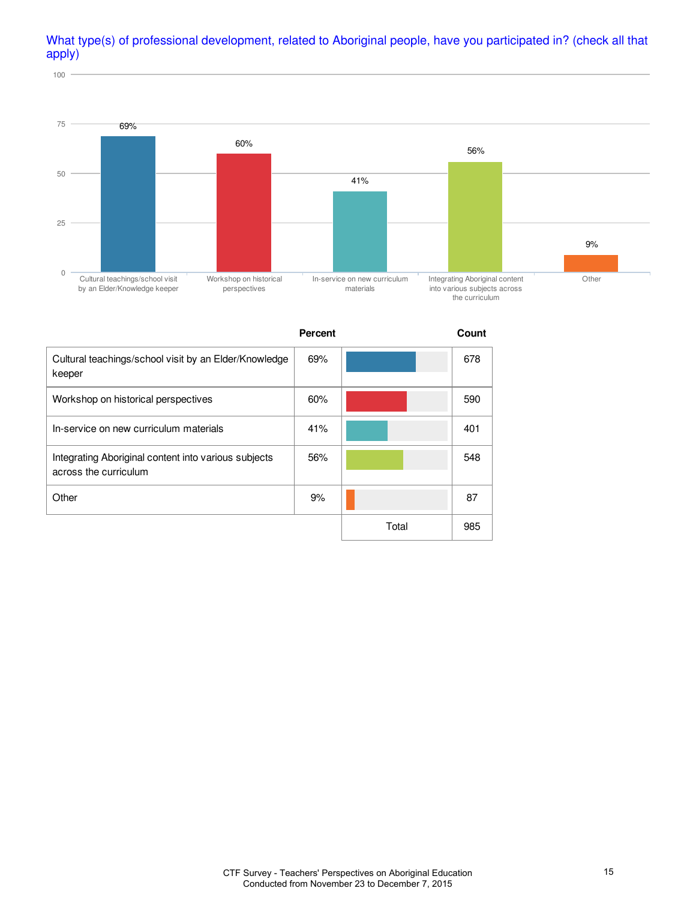# What type(s) of professional development, related to Aboriginal people, have you participated in? (check all that apply)

100



**Percent Count** Cultural teachings/school visit by an Elder/Knowledge keeper 69% 678 Workshop on historical perspectives **60%** 60% **60% 60% 1 1 1 590** In-service on new curriculum materials 41% 401 Integrating Aboriginal content into various subjects across the curriculum 56% 548 Other 87 Total 985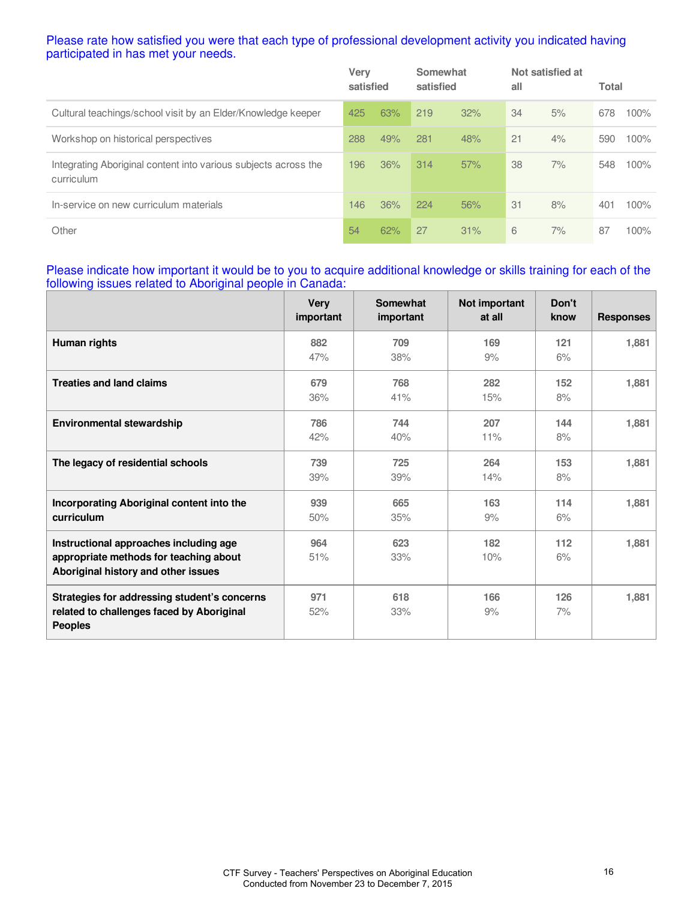### Please rate how satisfied you were that each type of professional development activity you indicated having participated in has met your needs.

|                                                                               | Verv<br>satisfied |     | Somewhat<br>satisfied |     | all | Not satisfied at | <b>Total</b> |      |
|-------------------------------------------------------------------------------|-------------------|-----|-----------------------|-----|-----|------------------|--------------|------|
| Cultural teachings/school visit by an Elder/Knowledge keeper                  | 425               | 63% | 219                   | 32% | 34  | 5%               | 678          | 100% |
| Workshop on historical perspectives                                           | 288               | 49% | 281                   | 48% | 21  | 4%               | 590          | 100% |
| Integrating Aboriginal content into various subjects across the<br>curriculum | 196               | 36% | 314                   | 57% | 38  | 7%               | 548          | 100% |
| In-service on new curriculum materials                                        | 146               | 36% | 224                   | 56% | 31  | 8%               | 401          | 100% |
| Other                                                                         | 54                | 62% | 27                    | 31% | 6   | 7%               | 87           | 100% |

### Please indicate how important it would be to you to acquire additional knowledge or skills training for each of the following issues related to Aboriginal people in Canada:

|                                                                                                                         | <b>Very</b><br>important | Somewhat<br>important | Not important<br>at all | Don't<br>know | <b>Responses</b> |
|-------------------------------------------------------------------------------------------------------------------------|--------------------------|-----------------------|-------------------------|---------------|------------------|
| Human rights                                                                                                            | 882<br>47%               | 709<br>38%            | 169<br>9%               | 121<br>6%     | 1,881            |
| <b>Treaties and land claims</b>                                                                                         | 679<br>36%               | 768<br>41%            | 282<br>15%              | 152<br>8%     | 1,881            |
| <b>Environmental stewardship</b>                                                                                        | 786<br>42%               | 744<br>40%            | 207<br>11%              | 144<br>8%     | 1,881            |
| The legacy of residential schools                                                                                       | 739<br>39%               | 725<br>39%            | 264<br>14%              | 153<br>8%     | 1,881            |
| Incorporating Aboriginal content into the<br>curriculum                                                                 | 939<br>50%               | 665<br>35%            | 163<br>9%               | 114<br>6%     | 1,881            |
| Instructional approaches including age<br>appropriate methods for teaching about<br>Aboriginal history and other issues | 964<br>51%               | 623<br>33%            | 182<br>10%              | 112<br>6%     | 1,881            |
| Strategies for addressing student's concerns<br>related to challenges faced by Aboriginal<br><b>Peoples</b>             | 971<br>52%               | 618<br>33%            | 166<br>9%               | 126<br>7%     | 1,881            |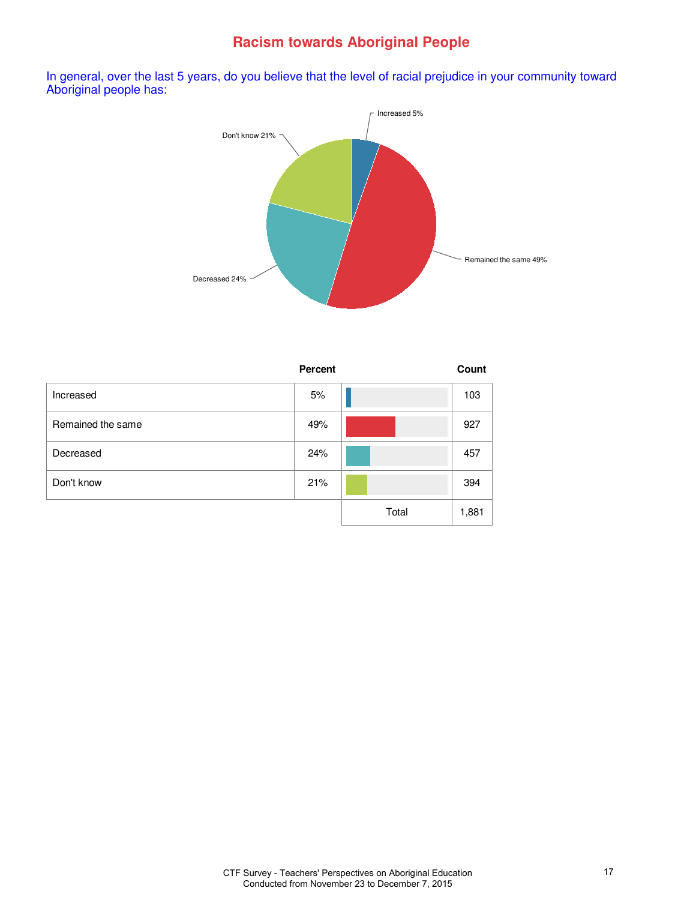# **Racism towards Aboriginal People**

In general, over the last 5 years, do you believe that the level of racial prejudice in your community toward Aboriginal people has:



|                   | <b>Percent</b> |       | Count |
|-------------------|----------------|-------|-------|
| Increased         | 5%             |       | 103   |
| Remained the same | 49%            |       | 927   |
| Decreased         | 24%            |       | 457   |
| Don't know        | 21%            |       | 394   |
|                   |                | Total | 1,881 |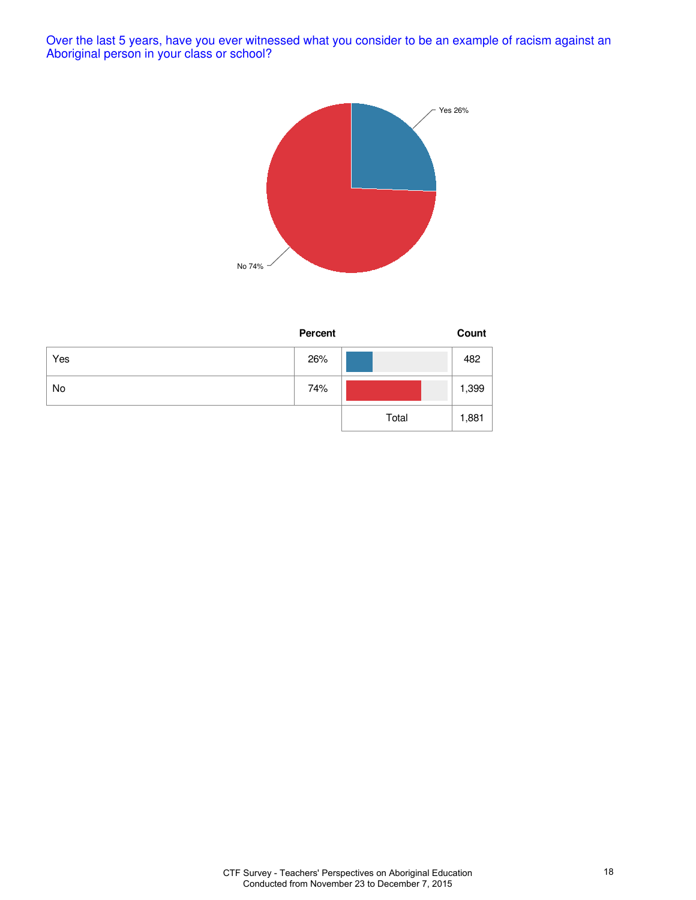Over the last 5 years, have you ever witnessed what you consider to be an example of racism against an Aboriginal person in your class or school?



|     | Percent |       | Count |
|-----|---------|-------|-------|
| Yes | 26%     |       | 482   |
| No  | 74%     |       | 1,399 |
|     |         | Total | 1,881 |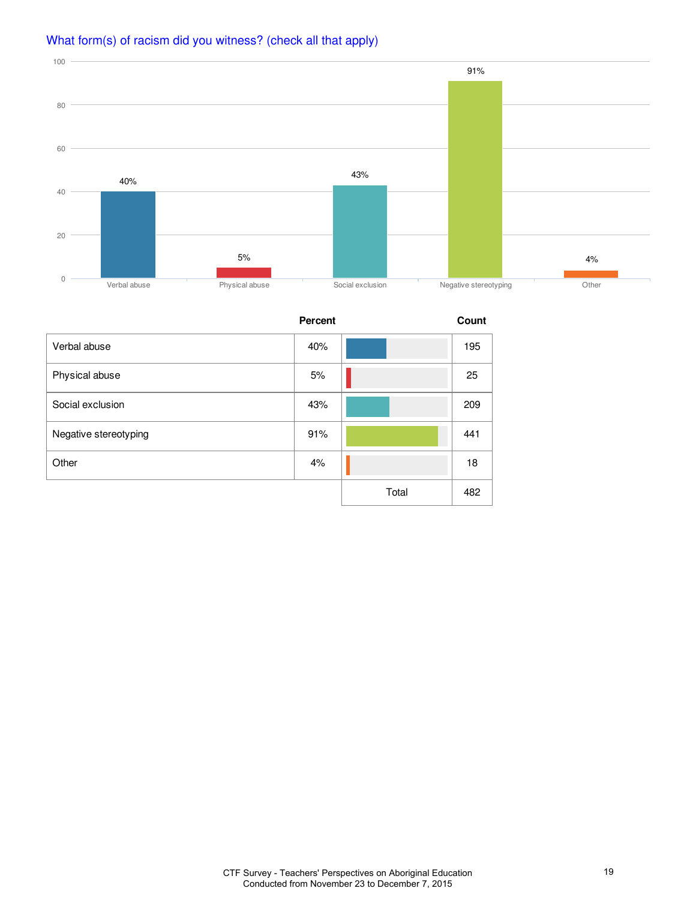

# What form(s) of racism did you witness? (check all that apply)

**Percent Count** Verbal abuse 40% 195 Physical abuse 25 25 Social exclusion **209** 209 Negative stereotyping and the state of the state of the stereotyping and the state of the state of the state of the state of the state of the state of the state of the state of the state of the state of the state of the st Other 18 | **4% | 4% | 18** Total 482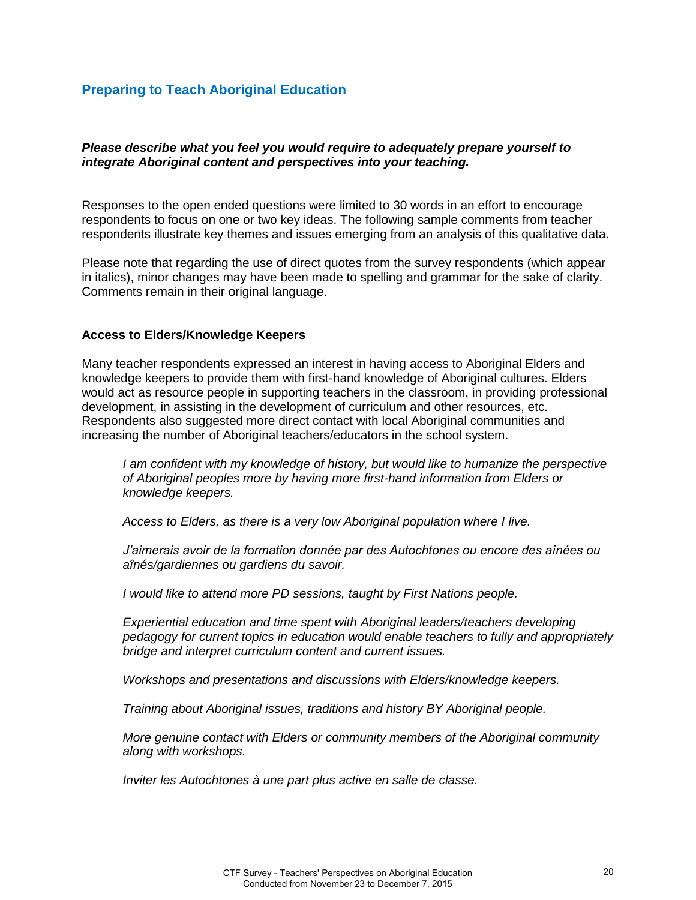### *Please describe what you feel you would require to adequately prepare yourself to integrate Aboriginal content and perspectives into your teaching.*

Responses to the open ended questions were limited to 30 words in an effort to encourage respondents to focus on one or two key ideas. The following sample comments from teacher respondents illustrate key themes and issues emerging from an analysis of this qualitative data.

Please note that regarding the use of direct quotes from the survey respondents (which appear in italics), minor changes may have been made to spelling and grammar for the sake of clarity. Comments remain in their original language.

### **Access to Elders/Knowledge Keepers**

Many teacher respondents expressed an interest in having access to Aboriginal Elders and knowledge keepers to provide them with first-hand knowledge of Aboriginal cultures. Elders would act as resource people in supporting teachers in the classroom, in providing professional development, in assisting in the development of curriculum and other resources, etc. Respondents also suggested more direct contact with local Aboriginal communities and increasing the number of Aboriginal teachers/educators in the school system.

*I am confident with my knowledge of history, but would like to humanize the perspective of Aboriginal peoples more by having more first-hand information from Elders or knowledge keepers.* 

*Access to Elders, as there is a very low Aboriginal population where I live.* 

*J'aimerais avoir de la formation donnée par des Autochtones ou encore des aînées ou aînés/gardiennes ou gardiens du savoir.* 

*I would like to attend more PD sessions, taught by First Nations people.* 

*Experiential education and time spent with Aboriginal leaders/teachers developing pedagogy for current topics in education would enable teachers to fully and appropriately bridge and interpret curriculum content and current issues.* 

*Workshops and presentations and discussions with Elders/knowledge keepers.* 

*Training about Aboriginal issues, traditions and history BY Aboriginal people.* 

*More genuine contact with Elders or community members of the Aboriginal community along with workshops.* 

*Inviter les Autochtones à une part plus active en salle de classe.*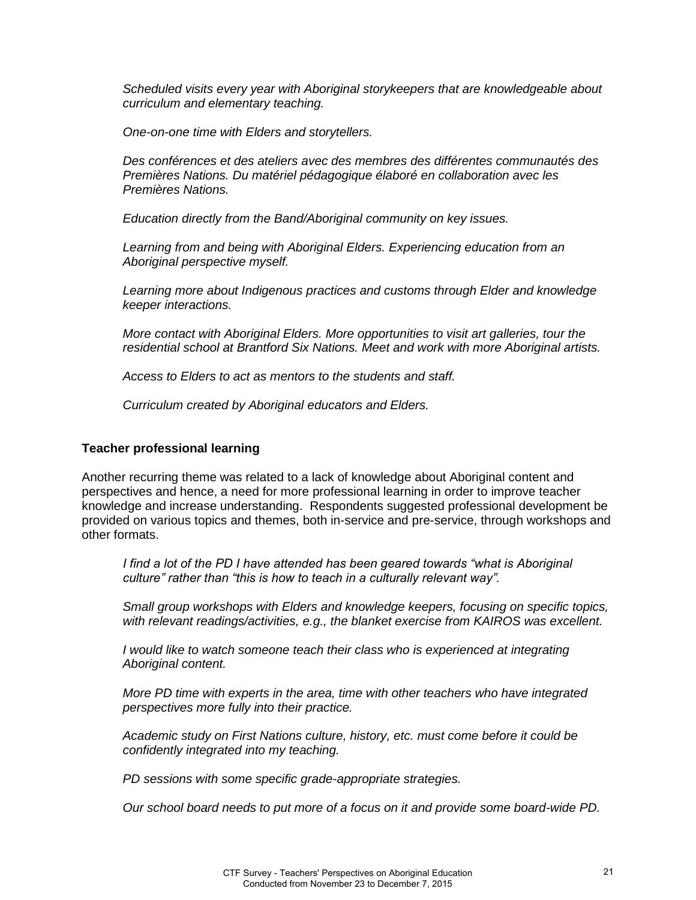*Scheduled visits every year with Aboriginal storykeepers that are knowledgeable about curriculum and elementary teaching.* 

*One-on-one time with Elders and storytellers.* 

*Des conférences et des ateliers avec des membres des différentes communautés des Premières Nations. Du matériel pédagogique élaboré en collaboration avec les Premières Nations.* 

*Education directly from the Band/Aboriginal community on key issues.* 

*Learning from and being with Aboriginal Elders. Experiencing education from an Aboriginal perspective myself.* 

*Learning more about Indigenous practices and customs through Elder and knowledge keeper interactions.* 

*More contact with Aboriginal Elders. More opportunities to visit art galleries, tour the residential school at Brantford Six Nations. Meet and work with more Aboriginal artists.* 

*Access to Elders to act as mentors to the students and staff.* 

*Curriculum created by Aboriginal educators and Elders.*

#### **Teacher professional learning**

Another recurring theme was related to a lack of knowledge about Aboriginal content and perspectives and hence, a need for more professional learning in order to improve teacher knowledge and increase understanding. Respondents suggested professional development be provided on various topics and themes, both in-service and pre-service, through workshops and other formats.

*I find a lot of the PD I have attended has been geared towards "what is Aboriginal culture" rather than "this is how to teach in a culturally relevant way".*

*Small group workshops with Elders and knowledge keepers, focusing on specific topics, with relevant readings/activities, e.g., the blanket exercise from KAIROS was excellent.* 

*I* would like to watch someone teach their class who is experienced at integrating *Aboriginal content.* 

*More PD time with experts in the area, time with other teachers who have integrated perspectives more fully into their practice.* 

*Academic study on First Nations culture, history, etc. must come before it could be confidently integrated into my teaching.* 

*PD sessions with some specific grade-appropriate strategies.* 

*Our school board needs to put more of a focus on it and provide some board-wide PD.*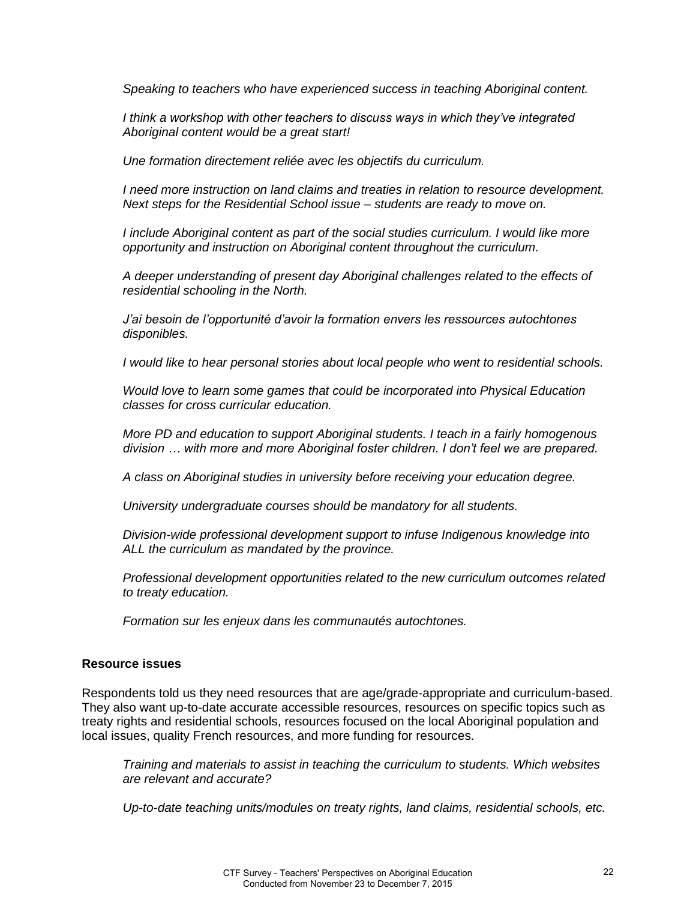*Speaking to teachers who have experienced success in teaching Aboriginal content.* 

*I think a workshop with other teachers to discuss ways in which they've integrated Aboriginal content would be a great start!* 

*Une formation directement reliée avec les objectifs du curriculum.* 

*I need more instruction on land claims and treaties in relation to resource development. Next steps for the Residential School issue – students are ready to move on.* 

*I include Aboriginal content as part of the social studies curriculum. I would like more opportunity and instruction on Aboriginal content throughout the curriculum.* 

*A deeper understanding of present day Aboriginal challenges related to the effects of residential schooling in the North.* 

*J'ai besoin de l'opportunité d'avoir la formation envers les ressources autochtones disponibles.* 

*I would like to hear personal stories about local people who went to residential schools.* 

*Would love to learn some games that could be incorporated into Physical Education classes for cross curricular education.* 

*More PD and education to support Aboriginal students. I teach in a fairly homogenous division … with more and more Aboriginal foster children. I don't feel we are prepared.*

*A class on Aboriginal studies in university before receiving your education degree.* 

*University undergraduate courses should be mandatory for all students.* 

*Division-wide professional development support to infuse Indigenous knowledge into ALL the curriculum as mandated by the province.*

*Professional development opportunities related to the new curriculum outcomes related to treaty education.* 

*Formation sur les enjeux dans les communautés autochtones.*

#### **Resource issues**

Respondents told us they need resources that are age/grade-appropriate and curriculum-based. They also want up-to-date accurate accessible resources, resources on specific topics such as treaty rights and residential schools, resources focused on the local Aboriginal population and local issues, quality French resources, and more funding for resources.

*Training and materials to assist in teaching the curriculum to students. Which websites are relevant and accurate?* 

*Up-to-date teaching units/modules on treaty rights, land claims, residential schools, etc.*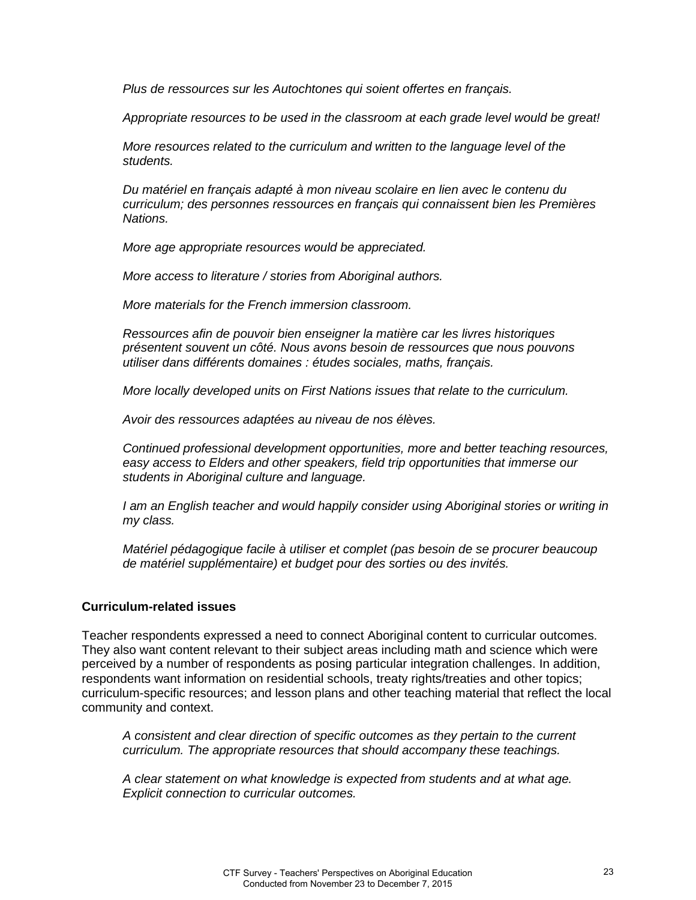*Plus de ressources sur les Autochtones qui soient offertes en français.* 

*Appropriate resources to be used in the classroom at each grade level would be great!* 

*More resources related to the curriculum and written to the language level of the students.* 

*Du matériel en français adapté à mon niveau scolaire en lien avec le contenu du curriculum; des personnes ressources en français qui connaissent bien les Premières Nations.* 

*More age appropriate resources would be appreciated.* 

*More access to literature / stories from Aboriginal authors.* 

*More materials for the French immersion classroom.* 

*Ressources afin de pouvoir bien enseigner la matière car les livres historiques présentent souvent un côté. Nous avons besoin de ressources que nous pouvons utiliser dans différents domaines : études sociales, maths, français.* 

*More locally developed units on First Nations issues that relate to the curriculum.* 

*Avoir des ressources adaptées au niveau de nos élèves.* 

*Continued professional development opportunities, more and better teaching resources, easy access to Elders and other speakers, field trip opportunities that immerse our students in Aboriginal culture and language.* 

*I am an English teacher and would happily consider using Aboriginal stories or writing in my class.* 

*Matériel pédagogique facile à utiliser et complet (pas besoin de se procurer beaucoup de matériel supplémentaire) et budget pour des sorties ou des invités.*

### **Curriculum-related issues**

Teacher respondents expressed a need to connect Aboriginal content to curricular outcomes. They also want content relevant to their subject areas including math and science which were perceived by a number of respondents as posing particular integration challenges. In addition, respondents want information on residential schools, treaty rights/treaties and other topics; curriculum-specific resources; and lesson plans and other teaching material that reflect the local community and context.

*A consistent and clear direction of specific outcomes as they pertain to the current curriculum. The appropriate resources that should accompany these teachings.* 

*A clear statement on what knowledge is expected from students and at what age. Explicit connection to curricular outcomes.*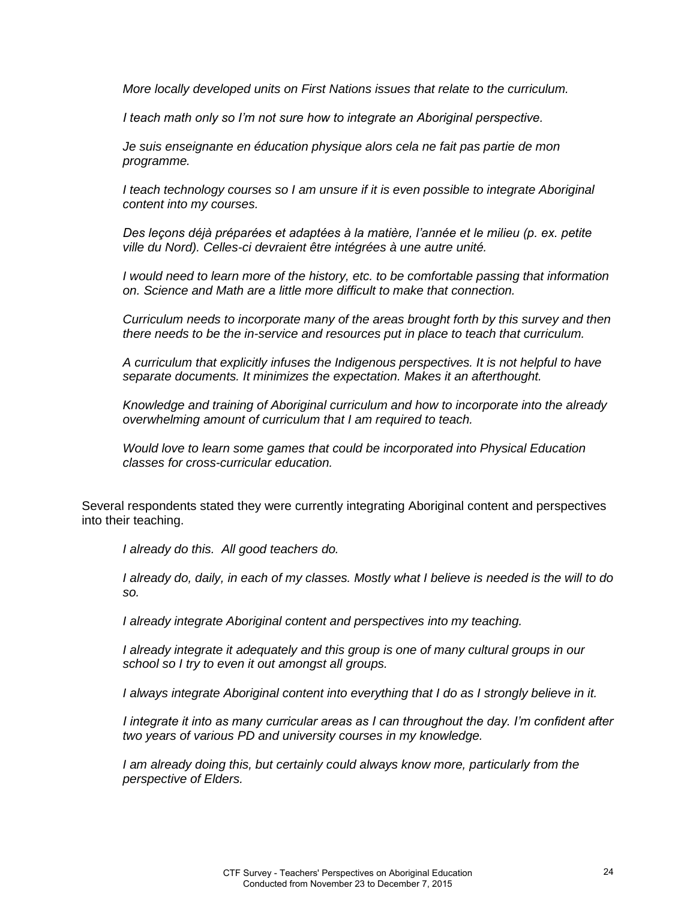*More locally developed units on First Nations issues that relate to the curriculum.* 

*I teach math only so I'm not sure how to integrate an Aboriginal perspective.*

*Je suis enseignante en éducation physique alors cela ne fait pas partie de mon programme.* 

*I teach technology courses so I am unsure if it is even possible to integrate Aboriginal content into my courses.* 

*Des leçons déjà préparées et adaptées à la matière, l'année et le milieu (p. ex. petite ville du Nord). Celles-ci devraient être intégrées à une autre unité.* 

*I would need to learn more of the history, etc. to be comfortable passing that information on. Science and Math are a little more difficult to make that connection.* 

*Curriculum needs to incorporate many of the areas brought forth by this survey and then there needs to be the in-service and resources put in place to teach that curriculum.* 

*A curriculum that explicitly infuses the Indigenous perspectives. It is not helpful to have separate documents. It minimizes the expectation. Makes it an afterthought.* 

*Knowledge and training of Aboriginal curriculum and how to incorporate into the already overwhelming amount of curriculum that I am required to teach.* 

*Would love to learn some games that could be incorporated into Physical Education classes for cross-curricular education.*

Several respondents stated they were currently integrating Aboriginal content and perspectives into their teaching.

*I already do this. All good teachers do.* 

*I already do, daily, in each of my classes. Mostly what I believe is needed is the will to do so.* 

*I already integrate Aboriginal content and perspectives into my teaching.* 

*I already integrate it adequately and this group is one of many cultural groups in our school so I try to even it out amongst all groups.* 

*I always integrate Aboriginal content into everything that I do as I strongly believe in it.* 

*I integrate it into as many curricular areas as I can throughout the day. I'm confident after two years of various PD and university courses in my knowledge.* 

*I am already doing this, but certainly could always know more, particularly from the perspective of Elders.*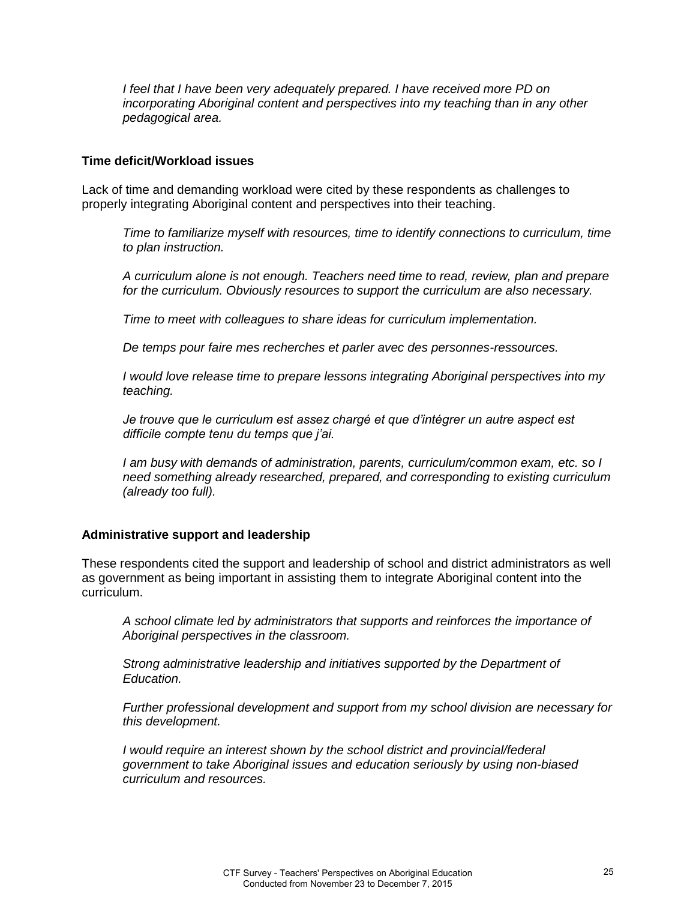*I feel that I have been very adequately prepared. I have received more PD on incorporating Aboriginal content and perspectives into my teaching than in any other pedagogical area.*

#### **Time deficit/Workload issues**

Lack of time and demanding workload were cited by these respondents as challenges to properly integrating Aboriginal content and perspectives into their teaching.

*Time to familiarize myself with resources, time to identify connections to curriculum, time to plan instruction.* 

*A curriculum alone is not enough. Teachers need time to read, review, plan and prepare for the curriculum. Obviously resources to support the curriculum are also necessary.* 

*Time to meet with colleagues to share ideas for curriculum implementation.* 

*De temps pour faire mes recherches et parler avec des personnes-ressources.* 

*I would love release time to prepare lessons integrating Aboriginal perspectives into my teaching.* 

*Je trouve que le curriculum est assez chargé et que d'intégrer un autre aspect est difficile compte tenu du temps que j'ai.*

*I am busy with demands of administration, parents, curriculum/common exam, etc. so I need something already researched, prepared, and corresponding to existing curriculum (already too full).*

### **Administrative support and leadership**

These respondents cited the support and leadership of school and district administrators as well as government as being important in assisting them to integrate Aboriginal content into the curriculum.

*A school climate led by administrators that supports and reinforces the importance of Aboriginal perspectives in the classroom.* 

*Strong administrative leadership and initiatives supported by the Department of Education.* 

*Further professional development and support from my school division are necessary for this development.* 

*I would require an interest shown by the school district and provincial/federal government to take Aboriginal issues and education seriously by using non-biased curriculum and resources.*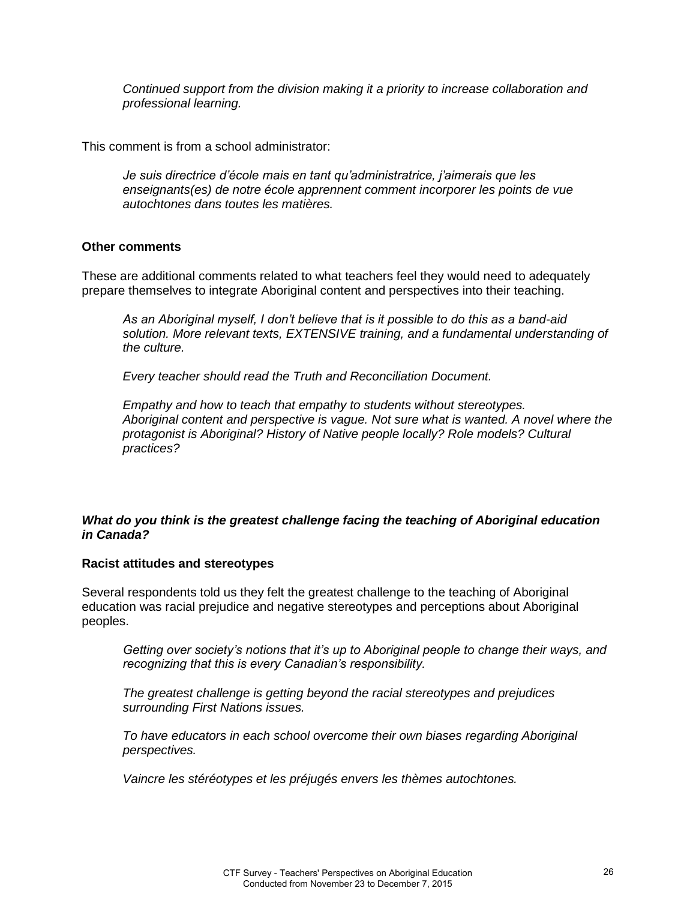*Continued support from the division making it a priority to increase collaboration and professional learning.*

This comment is from a school administrator:

*Je suis directrice d'école mais en tant qu'administratrice, j'aimerais que les enseignants(es) de notre école apprennent comment incorporer les points de vue autochtones dans toutes les matières.* 

### **Other comments**

These are additional comments related to what teachers feel they would need to adequately prepare themselves to integrate Aboriginal content and perspectives into their teaching.

*As an Aboriginal myself, I don't believe that is it possible to do this as a band-aid solution. More relevant texts, EXTENSIVE training, and a fundamental understanding of the culture.* 

*Every teacher should read the Truth and Reconciliation Document.* 

*Empathy and how to teach that empathy to students without stereotypes. Aboriginal content and perspective is vague. Not sure what is wanted. A novel where the protagonist is Aboriginal? History of Native people locally? Role models? Cultural practices?* 

# *What do you think is the greatest challenge facing the teaching of Aboriginal education in Canada?*

### **Racist attitudes and stereotypes**

Several respondents told us they felt the greatest challenge to the teaching of Aboriginal education was racial prejudice and negative stereotypes and perceptions about Aboriginal peoples.

*Getting over society's notions that it's up to Aboriginal people to change their ways, and recognizing that this is every Canadian's responsibility.*

*The greatest challenge is getting beyond the racial stereotypes and prejudices surrounding First Nations issues.* 

*To have educators in each school overcome their own biases regarding Aboriginal perspectives.* 

*Vaincre les stéréotypes et les préjugés envers les thèmes autochtones.*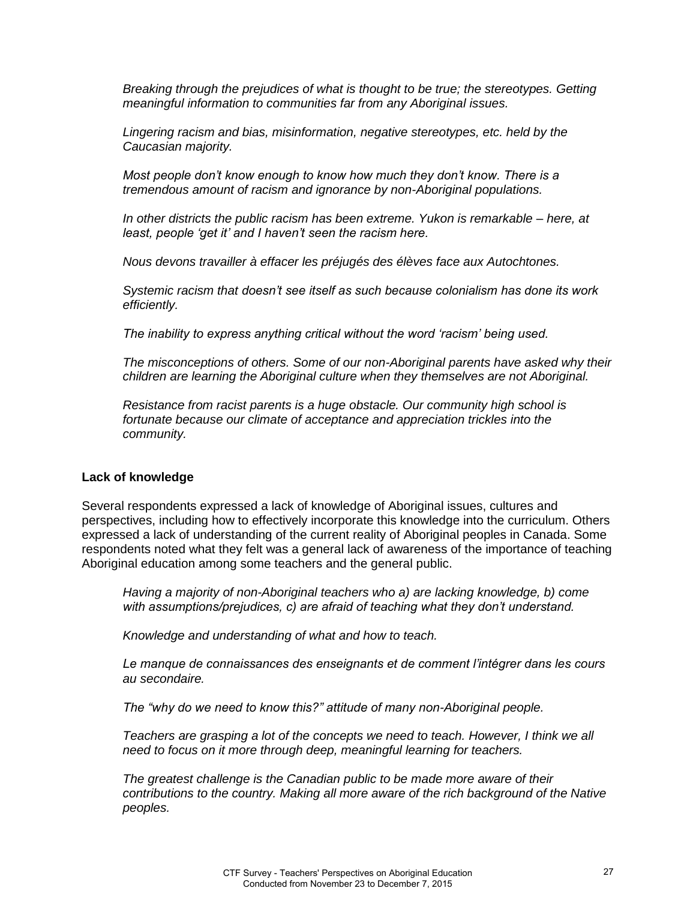*Breaking through the prejudices of what is thought to be true; the stereotypes. Getting meaningful information to communities far from any Aboriginal issues.* 

*Lingering racism and bias, misinformation, negative stereotypes, etc. held by the Caucasian majority.* 

*Most people don't know enough to know how much they don't know. There is a tremendous amount of racism and ignorance by non-Aboriginal populations.* 

*In other districts the public racism has been extreme. Yukon is remarkable – here, at least, people 'get it' and I haven't seen the racism here.*

*Nous devons travailler à effacer les préjugés des élèves face aux Autochtones.* 

*Systemic racism that doesn't see itself as such because colonialism has done its work efficiently.* 

*The inability to express anything critical without the word 'racism' being used.*

*The misconceptions of others. Some of our non-Aboriginal parents have asked why their children are learning the Aboriginal culture when they themselves are not Aboriginal.* 

*Resistance from racist parents is a huge obstacle. Our community high school is fortunate because our climate of acceptance and appreciation trickles into the community.*

#### **Lack of knowledge**

Several respondents expressed a lack of knowledge of Aboriginal issues, cultures and perspectives, including how to effectively incorporate this knowledge into the curriculum. Others expressed a lack of understanding of the current reality of Aboriginal peoples in Canada. Some respondents noted what they felt was a general lack of awareness of the importance of teaching Aboriginal education among some teachers and the general public.

*Having a majority of non-Aboriginal teachers who a) are lacking knowledge, b) come with assumptions/prejudices, c) are afraid of teaching what they don't understand.*

*Knowledge and understanding of what and how to teach.* 

*Le manque de connaissances des enseignants et de comment l'intégrer dans les cours au secondaire.* 

*The "why do we need to know this?" attitude of many non-Aboriginal people.* 

*Teachers are grasping a lot of the concepts we need to teach. However, I think we all need to focus on it more through deep, meaningful learning for teachers.* 

*The greatest challenge is the Canadian public to be made more aware of their contributions to the country. Making all more aware of the rich background of the Native peoples.*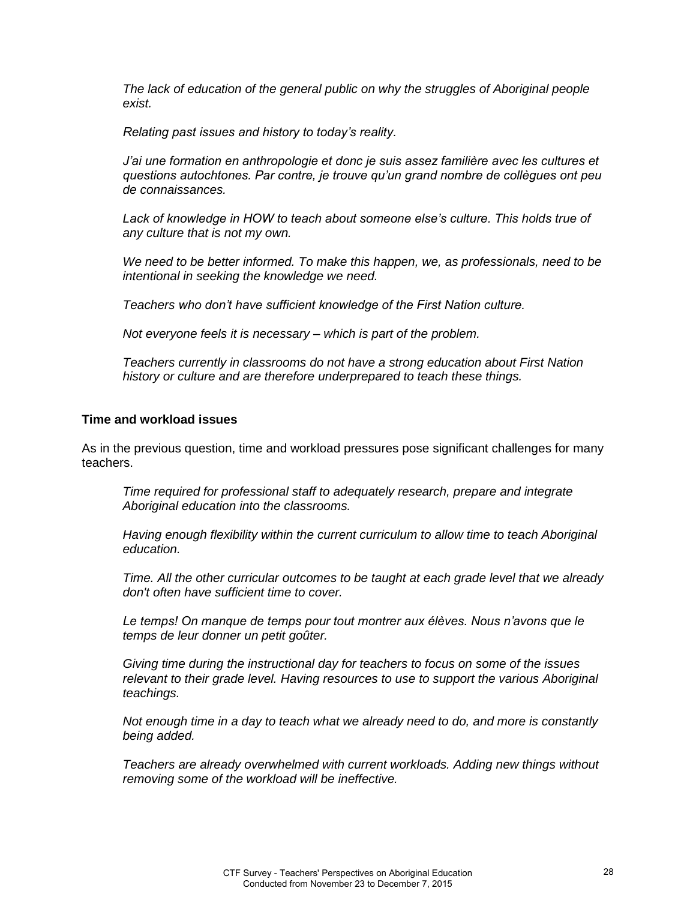*The lack of education of the general public on why the struggles of Aboriginal people exist.* 

*Relating past issues and history to today's reality.*

*J'ai une formation en anthropologie et donc je suis assez familière avec les cultures et questions autochtones. Par contre, je trouve qu'un grand nombre de collègues ont peu de connaissances.* 

*Lack of knowledge in HOW to teach about someone else's culture. This holds true of any culture that is not my own.* 

*We need to be better informed. To make this happen, we, as professionals, need to be intentional in seeking the knowledge we need.* 

*Teachers who don't have sufficient knowledge of the First Nation culture.*

*Not everyone feels it is necessary – which is part of the problem.* 

*Teachers currently in classrooms do not have a strong education about First Nation history or culture and are therefore underprepared to teach these things.*

### **Time and workload issues**

As in the previous question, time and workload pressures pose significant challenges for many teachers.

*Time required for professional staff to adequately research, prepare and integrate Aboriginal education into the classrooms.* 

*Having enough flexibility within the current curriculum to allow time to teach Aboriginal education.* 

*Time. All the other curricular outcomes to be taught at each grade level that we already don't often have sufficient time to cover.* 

*Le temps! On manque de temps pour tout montrer aux élèves. Nous n'avons que le temps de leur donner un petit goûter.* 

*Giving time during the instructional day for teachers to focus on some of the issues relevant to their grade level. Having resources to use to support the various Aboriginal teachings.* 

*Not enough time in a day to teach what we already need to do, and more is constantly being added.* 

*Teachers are already overwhelmed with current workloads. Adding new things without removing some of the workload will be ineffective.*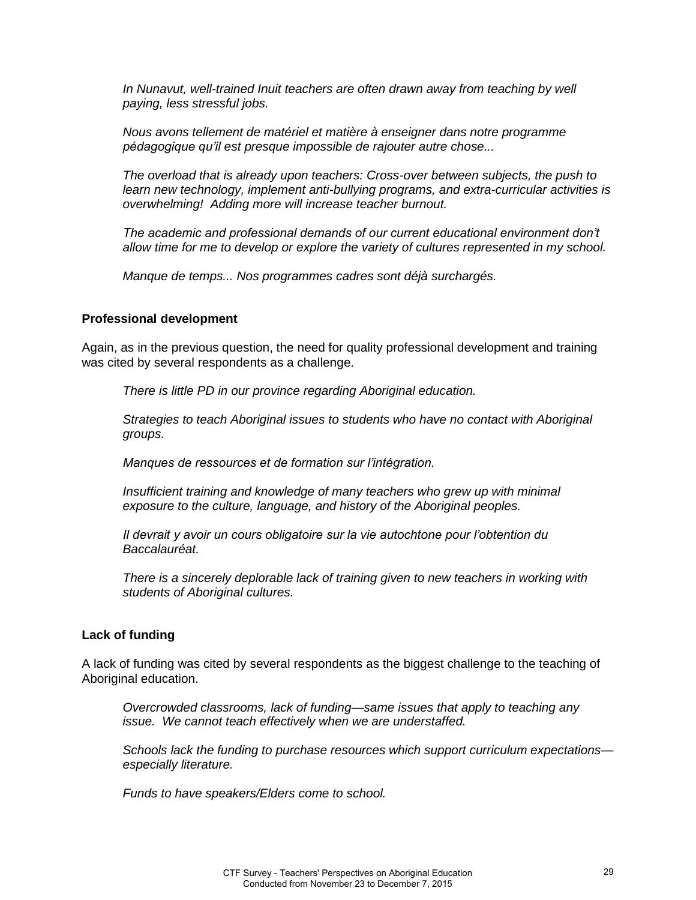*In Nunavut, well-trained Inuit teachers are often drawn away from teaching by well paying, less stressful jobs.*

*Nous avons tellement de matériel et matière à enseigner dans notre programme pédagogique qu'il est presque impossible de rajouter autre chose...* 

*The overload that is already upon teachers: Cross-over between subjects, the push to learn new technology, implement anti-bullying programs, and extra-curricular activities is overwhelming! Adding more will increase teacher burnout.*

*The academic and professional demands of our current educational environment don't allow time for me to develop or explore the variety of cultures represented in my school.*

*Manque de temps... Nos programmes cadres sont déjà surchargés.*

#### **Professional development**

Again, as in the previous question, the need for quality professional development and training was cited by several respondents as a challenge.

*There is little PD in our province regarding Aboriginal education.* 

*Strategies to teach Aboriginal issues to students who have no contact with Aboriginal groups.* 

*Manques de ressources et de formation sur l'intégration.* 

*Insufficient training and knowledge of many teachers who grew up with minimal exposure to the culture, language, and history of the Aboriginal peoples.* 

*Il devrait y avoir un cours obligatoire sur la vie autochtone pour l'obtention du Baccalauréat.* 

*There is a sincerely deplorable lack of training given to new teachers in working with students of Aboriginal cultures.*

#### **Lack of funding**

A lack of funding was cited by several respondents as the biggest challenge to the teaching of Aboriginal education.

*Overcrowded classrooms, lack of funding—same issues that apply to teaching any issue. We cannot teach effectively when we are understaffed.* 

*Schools lack the funding to purchase resources which support curriculum expectations especially literature.* 

*Funds to have speakers/Elders come to school.*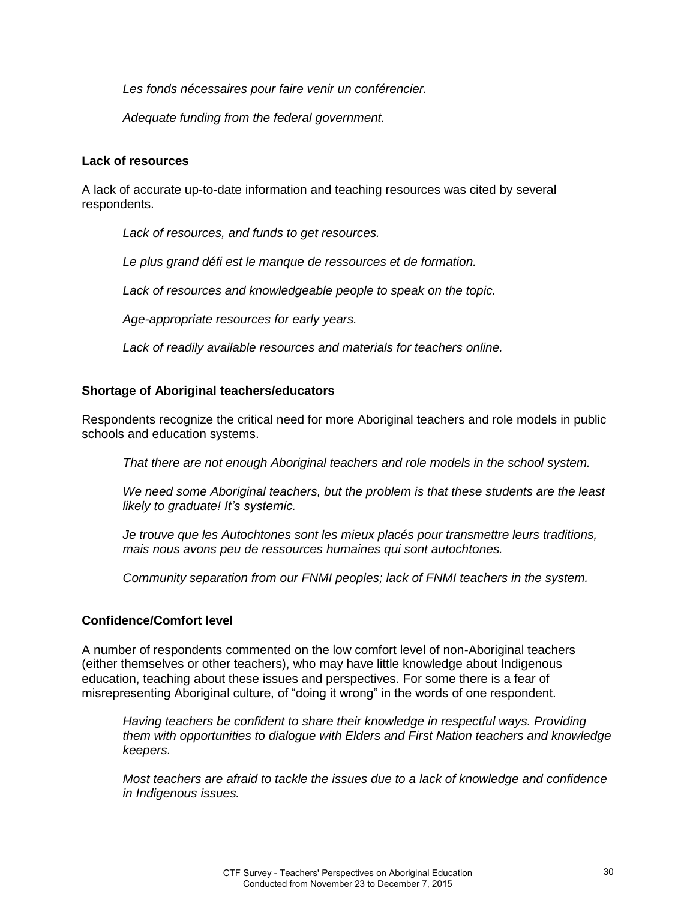*Les fonds nécessaires pour faire venir un conférencier.* 

*Adequate funding from the federal government.*

### **Lack of resources**

A lack of accurate up-to-date information and teaching resources was cited by several respondents.

*Lack of resources, and funds to get resources.* 

*Le plus grand défi est le manque de ressources et de formation.* 

*Lack of resources and knowledgeable people to speak on the topic.* 

*Age-appropriate resources for early years.* 

*Lack of readily available resources and materials for teachers online.*

# **Shortage of Aboriginal teachers/educators**

Respondents recognize the critical need for more Aboriginal teachers and role models in public schools and education systems.

*That there are not enough Aboriginal teachers and role models in the school system.* 

*We need some Aboriginal teachers, but the problem is that these students are the least likely to graduate! It's systemic.*

*Je trouve que les Autochtones sont les mieux placés pour transmettre leurs traditions, mais nous avons peu de ressources humaines qui sont autochtones.* 

*Community separation from our FNMI peoples; lack of FNMI teachers in the system.*

### **Confidence/Comfort level**

A number of respondents commented on the low comfort level of non-Aboriginal teachers (either themselves or other teachers), who may have little knowledge about Indigenous education, teaching about these issues and perspectives. For some there is a fear of misrepresenting Aboriginal culture, of "doing it wrong" in the words of one respondent.

*Having teachers be confident to share their knowledge in respectful ways. Providing them with opportunities to dialogue with Elders and First Nation teachers and knowledge keepers.*

*Most teachers are afraid to tackle the issues due to a lack of knowledge and confidence in Indigenous issues.*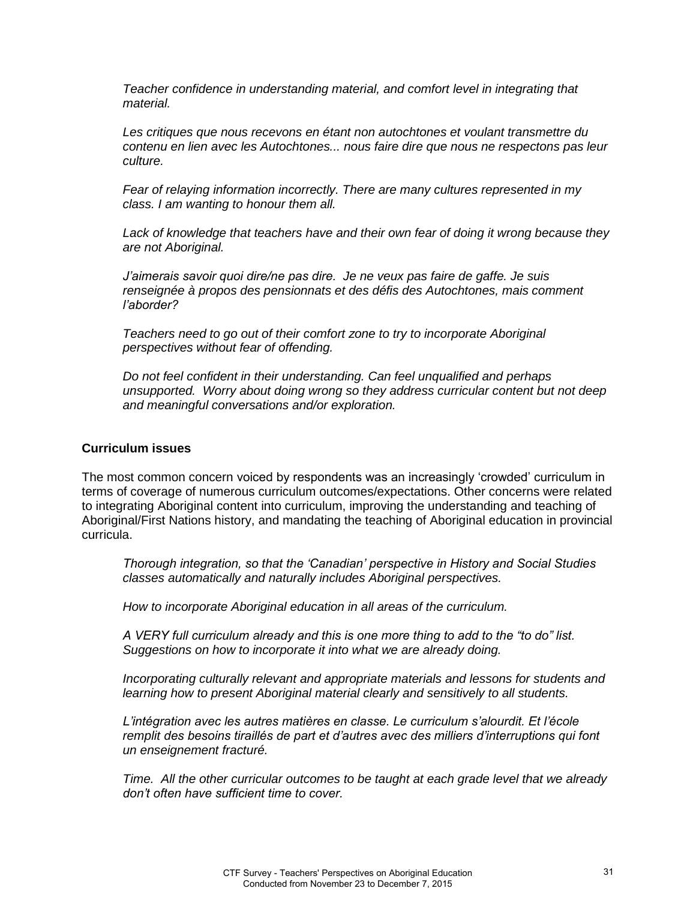*Teacher confidence in understanding material, and comfort level in integrating that material.* 

*Les critiques que nous recevons en étant non autochtones et voulant transmettre du contenu en lien avec les Autochtones... nous faire dire que nous ne respectons pas leur culture.* 

*Fear of relaying information incorrectly. There are many cultures represented in my class. I am wanting to honour them all.* 

*Lack of knowledge that teachers have and their own fear of doing it wrong because they are not Aboriginal.*

*J'aimerais savoir quoi dire/ne pas dire. Je ne veux pas faire de gaffe. Je suis renseignée à propos des pensionnats et des défis des Autochtones, mais comment l'aborder?* 

*Teachers need to go out of their comfort zone to try to incorporate Aboriginal perspectives without fear of offending.*

*Do not feel confident in their understanding. Can feel unqualified and perhaps unsupported. Worry about doing wrong so they address curricular content but not deep and meaningful conversations and/or exploration.*

#### **Curriculum issues**

The most common concern voiced by respondents was an increasingly 'crowded' curriculum in terms of coverage of numerous curriculum outcomes/expectations. Other concerns were related to integrating Aboriginal content into curriculum, improving the understanding and teaching of Aboriginal/First Nations history, and mandating the teaching of Aboriginal education in provincial curricula.

*Thorough integration, so that the 'Canadian' perspective in History and Social Studies classes automatically and naturally includes Aboriginal perspectives.* 

*How to incorporate Aboriginal education in all areas of the curriculum.* 

*A VERY full curriculum already and this is one more thing to add to the "to do" list. Suggestions on how to incorporate it into what we are already doing.* 

*Incorporating culturally relevant and appropriate materials and lessons for students and learning how to present Aboriginal material clearly and sensitively to all students.* 

*L'intégration avec les autres matières en classe. Le curriculum s'alourdit. Et l'école remplit des besoins tiraillés de part et d'autres avec des milliers d'interruptions qui font un enseignement fracturé.* 

*Time. All the other curricular outcomes to be taught at each grade level that we already don't often have sufficient time to cover.*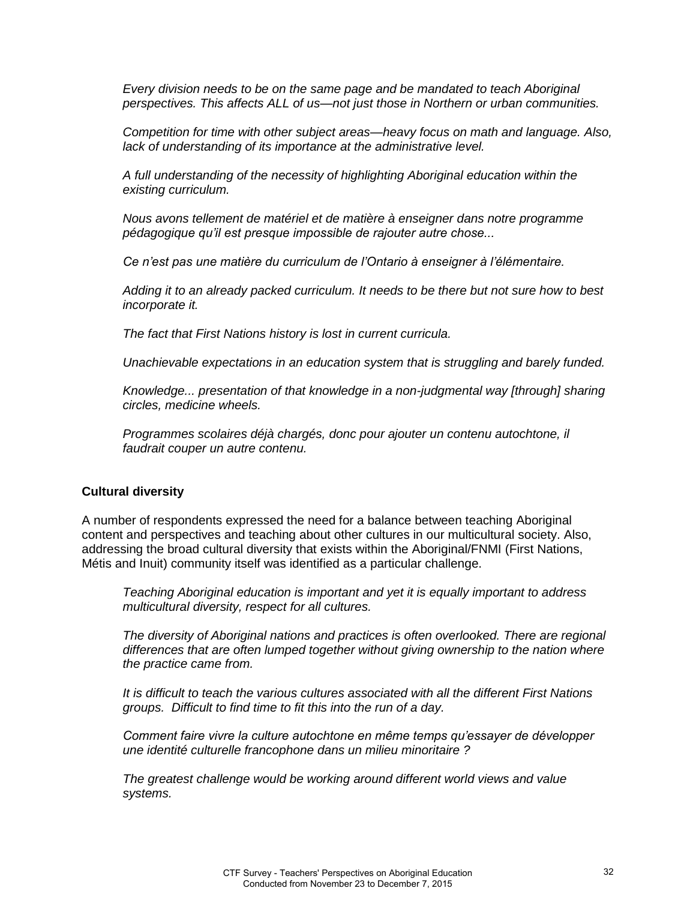*Every division needs to be on the same page and be mandated to teach Aboriginal perspectives. This affects ALL of us—not just those in Northern or urban communities.* 

*Competition for time with other subject areas—heavy focus on math and language. Also, lack of understanding of its importance at the administrative level.* 

*A full understanding of the necessity of highlighting Aboriginal education within the existing curriculum.* 

*Nous avons tellement de matériel et de matière à enseigner dans notre programme pédagogique qu'il est presque impossible de rajouter autre chose...*

*Ce n'est pas une matière du curriculum de l'Ontario à enseigner à l'élémentaire.*

*Adding it to an already packed curriculum. It needs to be there but not sure how to best incorporate it.* 

*The fact that First Nations history is lost in current curricula.* 

*Unachievable expectations in an education system that is struggling and barely funded.* 

*Knowledge... presentation of that knowledge in a non-judgmental way [through] sharing circles, medicine wheels.* 

*Programmes scolaires déjà chargés, donc pour ajouter un contenu autochtone, il faudrait couper un autre contenu.* 

#### **Cultural diversity**

A number of respondents expressed the need for a balance between teaching Aboriginal content and perspectives and teaching about other cultures in our multicultural society. Also, addressing the broad cultural diversity that exists within the Aboriginal/FNMI (First Nations, Métis and Inuit) community itself was identified as a particular challenge.

*Teaching Aboriginal education is important and yet it is equally important to address multicultural diversity, respect for all cultures.* 

*The diversity of Aboriginal nations and practices is often overlooked. There are regional differences that are often lumped together without giving ownership to the nation where the practice came from.* 

*It is difficult to teach the various cultures associated with all the different First Nations groups. Difficult to find time to fit this into the run of a day.*

*Comment faire vivre la culture autochtone en même temps qu'essayer de développer une identité culturelle francophone dans un milieu minoritaire ?*

*The greatest challenge would be working around different world views and value systems.*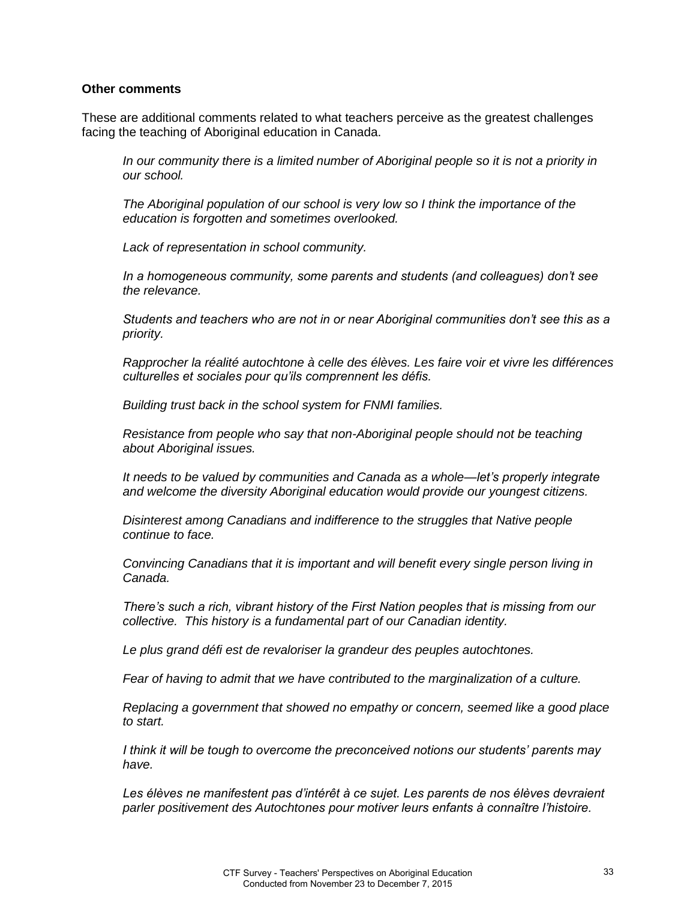#### **Other comments**

These are additional comments related to what teachers perceive as the greatest challenges facing the teaching of Aboriginal education in Canada.

*In our community there is a limited number of Aboriginal people so it is not a priority in our school.* 

*The Aboriginal population of our school is very low so I think the importance of the education is forgotten and sometimes overlooked.* 

*Lack of representation in school community.* 

*In a homogeneous community, some parents and students (and colleagues) don't see the relevance.* 

*Students and teachers who are not in or near Aboriginal communities don't see this as a priority.* 

*Rapprocher la réalité autochtone à celle des élèves. Les faire voir et vivre les différences culturelles et sociales pour qu'ils comprennent les défis.*

*Building trust back in the school system for FNMI families.* 

*Resistance from people who say that non-Aboriginal people should not be teaching about Aboriginal issues.* 

*It needs to be valued by communities and Canada as a whole—let's properly integrate and welcome the diversity Aboriginal education would provide our youngest citizens.* 

*Disinterest among Canadians and indifference to the struggles that Native people continue to face.* 

*Convincing Canadians that it is important and will benefit every single person living in Canada.* 

*There's such a rich, vibrant history of the First Nation peoples that is missing from our collective. This history is a fundamental part of our Canadian identity.* 

*Le plus grand défi est de revaloriser la grandeur des peuples autochtones.* 

*Fear of having to admit that we have contributed to the marginalization of a culture.* 

*Replacing a government that showed no empathy or concern, seemed like a good place to start.* 

*I think it will be tough to overcome the preconceived notions our students' parents may have.* 

Les élèves ne manifestent pas d'intérêt à ce sujet. Les parents de nos élèves devraient *parler positivement des Autochtones pour motiver leurs enfants à connaître l'histoire.*